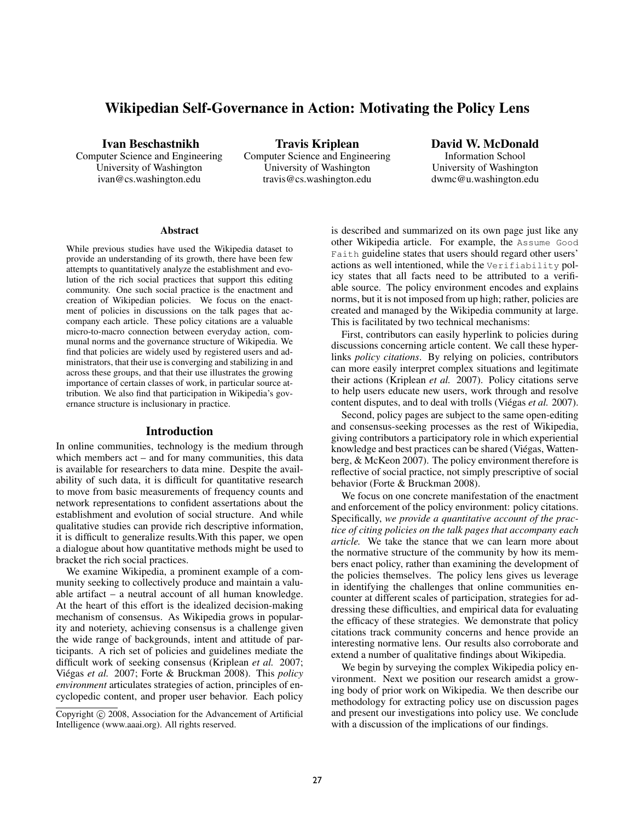# Wikipedian Self-Governance in Action: Motivating the Policy Lens

Ivan Beschastnikh

Computer Science and Engineering University of Washington ivan@cs.washington.edu

Travis Kriplean Computer Science and Engineering University of Washington travis@cs.washington.edu

David W. McDonald Information School University of Washington dwmc@u.washington.edu

#### Abstract

While previous studies have used the Wikipedia dataset to provide an understanding of its growth, there have been few attempts to quantitatively analyze the establishment and evolution of the rich social practices that support this editing community. One such social practice is the enactment and creation of Wikipedian policies. We focus on the enactment of policies in discussions on the talk pages that accompany each article. These policy citations are a valuable micro-to-macro connection between everyday action, communal norms and the governance structure of Wikipedia. We find that policies are widely used by registered users and administrators, that their use is converging and stabilizing in and across these groups, and that their use illustrates the growing importance of certain classes of work, in particular source attribution. We also find that participation in Wikipedia's governance structure is inclusionary in practice.

#### Introduction

In online communities, technology is the medium through which members act – and for many communities, this data is available for researchers to data mine. Despite the availability of such data, it is difficult for quantitative research to move from basic measurements of frequency counts and network representations to confident assertations about the establishment and evolution of social structure. And while qualitative studies can provide rich descriptive information, it is difficult to generalize results.With this paper, we open a dialogue about how quantitative methods might be used to bracket the rich social practices.

We examine Wikipedia, a prominent example of a community seeking to collectively produce and maintain a valuable artifact – a neutral account of all human knowledge. At the heart of this effort is the idealized decision-making mechanism of consensus. As Wikipedia grows in popularity and noteriety, achieving consensus is a challenge given the wide range of backgrounds, intent and attitude of participants. A rich set of policies and guidelines mediate the difficult work of seeking consensus (Kriplean *et al.* 2007; Viégas et al. 2007; Forte & Bruckman 2008). This *policy environment* articulates strategies of action, principles of encyclopedic content, and proper user behavior. Each policy is described and summarized on its own page just like any other Wikipedia article. For example, the Assume Good Faith guideline states that users should regard other users' actions as well intentioned, while the Verifiability policy states that all facts need to be attributed to a verifiable source. The policy environment encodes and explains norms, but it is not imposed from up high; rather, policies are created and managed by the Wikipedia community at large. This is facilitated by two technical mechanisms:

First, contributors can easily hyperlink to policies during discussions concerning article content. We call these hyperlinks *policy citations*. By relying on policies, contributors can more easily interpret complex situations and legitimate their actions (Kriplean *et al.* 2007). Policy citations serve to help users educate new users, work through and resolve content disputes, and to deal with trolls (Viégas *et al.* 2007).

Second, policy pages are subject to the same open-editing and consensus-seeking processes as the rest of Wikipedia, giving contributors a participatory role in which experiential knowledge and best practices can be shared (Viégas, Wattenberg, & McKeon 2007). The policy environment therefore is reflective of social practice, not simply prescriptive of social behavior (Forte & Bruckman 2008).

We focus on one concrete manifestation of the enactment and enforcement of the policy environment: policy citations. Specifically, *we provide a quantitative account of the practice of citing policies on the talk pages that accompany each article.* We take the stance that we can learn more about the normative structure of the community by how its members enact policy, rather than examining the development of the policies themselves. The policy lens gives us leverage in identifying the challenges that online communities encounter at different scales of participation, strategies for addressing these difficulties, and empirical data for evaluating the efficacy of these strategies. We demonstrate that policy citations track community concerns and hence provide an interesting normative lens. Our results also corroborate and extend a number of qualitative findings about Wikipedia.

We begin by surveying the complex Wikipedia policy environment. Next we position our research amidst a growing body of prior work on Wikipedia. We then describe our methodology for extracting policy use on discussion pages and present our investigations into policy use. We conclude with a discussion of the implications of our findings.

Copyright (c) 2008, Association for the Advancement of Artificial Intelligence (www.aaai.org). All rights reserved.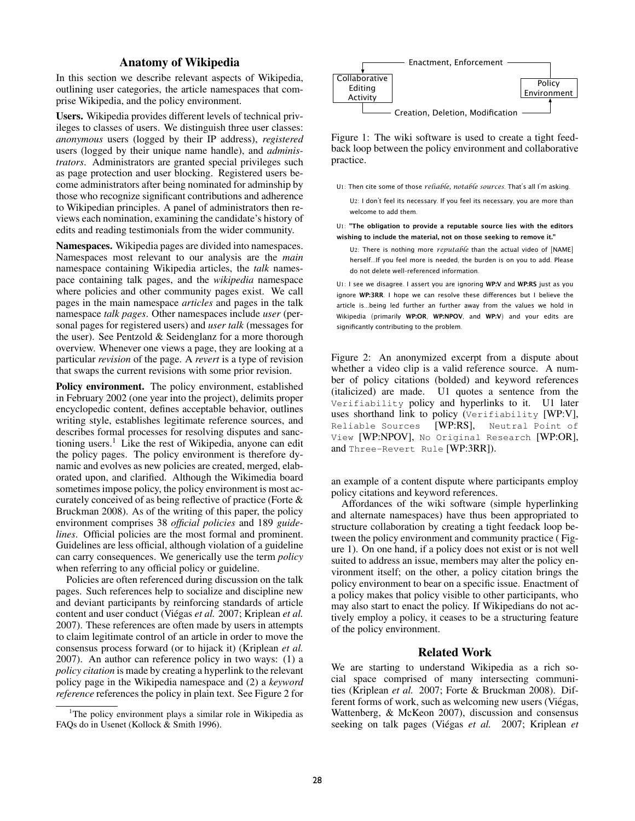# Anatomy of Wikipedia

In this section we describe relevant aspects of Wikipedia, outlining user categories, the article namespaces that comprise Wikipedia, and the policy environment.

Users. Wikipedia provides different levels of technical privileges to classes of users. We distinguish three user classes: *anonymous* users (logged by their IP address), *registered* users (logged by their unique name handle), and *administrators*. Administrators are granted special privileges such as page protection and user blocking. Registered users become administrators after being nominated for adminship by those who recognize significant contributions and adherence to Wikipedian principles. A panel of administrators then reviews each nomination, examining the candidate's history of edits and reading testimonials from the wider community.

Namespaces. Wikipedia pages are divided into namespaces. Namespaces most relevant to our analysis are the *main* namespace containing Wikipedia articles, the *talk* namespace containing talk pages, and the *wikipedia* namespace where policies and other community pages exist. We call pages in the main namespace *articles* and pages in the talk namespace *talk pages*. Other namespaces include *user* (personal pages for registered users) and *user talk* (messages for the user). See Pentzold & Seidenglanz for a more thorough overview. Whenever one views a page, they are looking at a particular *revision* of the page. A *revert* is a type of revision that swaps the current revisions with some prior revision.

Policy environment. The policy environment, established in February 2002 (one year into the project), delimits proper encyclopedic content, defines acceptable behavior, outlines writing style, establishes legitimate reference sources, and describes formal processes for resolving disputes and sanctioning users.<sup>1</sup> Like the rest of Wikipedia, anyone can edit the policy pages. The policy environment is therefore dynamic and evolves as new policies are created, merged, elaborated upon, and clarified. Although the Wikimedia board sometimes impose policy, the policy environment is most accurately conceived of as being reflective of practice (Forte & Bruckman 2008). As of the writing of this paper, the policy environment comprises 38 *official policies* and 189 *guidelines*. Official policies are the most formal and prominent. Guidelines are less official, although violation of a guideline can carry consequences. We generically use the term *policy* when referring to any official policy or guideline.

Policies are often referenced during discussion on the talk pages. Such references help to socialize and discipline new and deviant participants by reinforcing standards of article content and user conduct (Viégas et al. 2007; Kriplean et al. 2007). These references are often made by users in attempts to claim legitimate control of an article in order to move the consensus process forward (or to hijack it) (Kriplean *et al.* 2007). An author can reference policy in two ways: (1) a *policy citation* is made by creating a hyperlink to the relevant policy page in the Wikipedia namespace and (2) a *keyword reference* references the policy in plain text. See Figure 2 for





Figure 1: The wiki software is used to create a tight feedback loop between the policy environment and collaborative practice.

U1: Then cite some of those *reliable, notable sources*. That's all I'm asking.

U2: I don't feel its necessary. If you feel its necessary, you are more than welcome to add them.

U1: **"The obligation to provide a reputable source lies with the editors wishing to include the material, not on those seeking to remove it."**

U2: There is nothing more *reputable* than the actual video of [NAME] herself...If you feel more is needed, the burden is on you to add. Please do not delete well-referenced information.

U1: I see we disagree. I assert you are ignoring **WP:V** and **WP:RS** just as you ignore WP:3RR. I hope we can resolve these differences but I believe the article is...being led further an further away from the values we hold in Wikipedia (primarily **WP:OR**, **WP:NPOV**, and **WP:V**) and your edits are significantly contributing to the problem.

Figure 2: An anonymized excerpt from a dispute about whether a video clip is a valid reference source. A number of policy citations (bolded) and keyword references (italicized) are made. U1 quotes a sentence from the Verifiability policy and hyperlinks to it. U1 later uses shorthand link to policy (Verifiability [WP:V], Reliable Sources [WP:RS], Neutral Point of View [WP:NPOV], No Original Research [WP:OR], and Three-Revert Rule [WP:3RR]).

an example of a content dispute where participants employ policy citations and keyword references.

Affordances of the wiki software (simple hyperlinking and alternate namespaces) have thus been appropriated to structure collaboration by creating a tight feedack loop between the policy environment and community practice ( Figure 1). On one hand, if a policy does not exist or is not well suited to address an issue, members may alter the policy environment itself; on the other, a policy citation brings the policy environment to bear on a specific issue. Enactment of a policy makes that policy visible to other participants, who may also start to enact the policy. If Wikipedians do not actively employ a policy, it ceases to be a structuring feature of the policy environment.

# Related Work

We are starting to understand Wikipedia as a rich social space comprised of many intersecting communities (Kriplean *et al.* 2007; Forte & Bruckman 2008). Different forms of work, such as welcoming new users (Viégas, Wattenberg, & McKeon 2007), discussion and consensus seeking on talk pages (Viégas et al. 2007; Kriplean et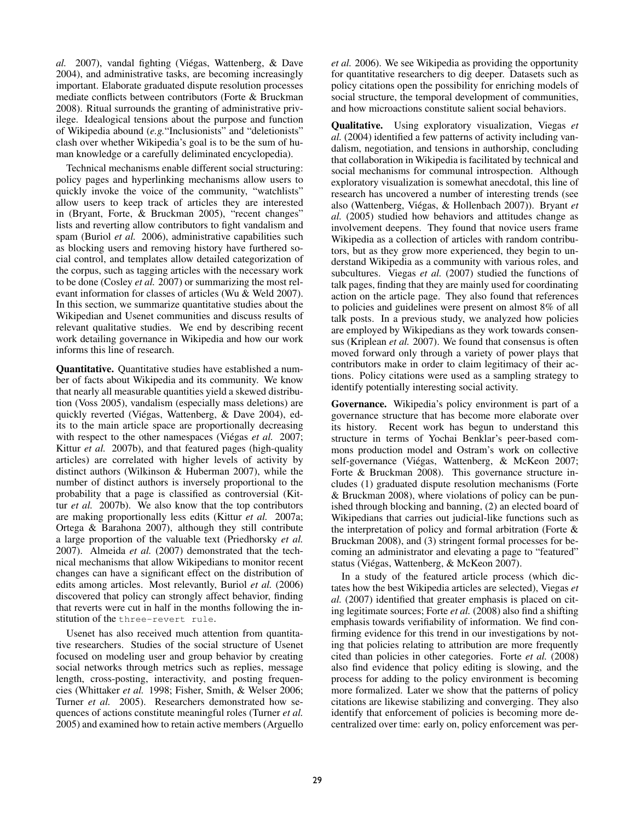*al.* 2007), vandal fighting (Viegas, Wattenberg, & Dave ´ 2004), and administrative tasks, are becoming increasingly important. Elaborate graduated dispute resolution processes mediate conflicts between contributors (Forte & Bruckman 2008). Ritual surrounds the granting of administrative privilege. Idealogical tensions about the purpose and function of Wikipedia abound (*e.g.*"Inclusionists" and "deletionists" clash over whether Wikipedia's goal is to be the sum of human knowledge or a carefully deliminated encyclopedia).

Technical mechanisms enable different social structuring: policy pages and hyperlinking mechanisms allow users to quickly invoke the voice of the community, "watchlists" allow users to keep track of articles they are interested in (Bryant, Forte, & Bruckman 2005), "recent changes" lists and reverting allow contributors to fight vandalism and spam (Buriol *et al.* 2006), administrative capabilities such as blocking users and removing history have furthered social control, and templates allow detailed categorization of the corpus, such as tagging articles with the necessary work to be done (Cosley *et al.* 2007) or summarizing the most relevant information for classes of articles (Wu & Weld 2007). In this section, we summarize quantitative studies about the Wikipedian and Usenet communities and discuss results of relevant qualitative studies. We end by describing recent work detailing governance in Wikipedia and how our work informs this line of research.

Quantitative. Quantitative studies have established a number of facts about Wikipedia and its community. We know that nearly all measurable quantities yield a skewed distribution (Voss 2005), vandalism (especially mass deletions) are quickly reverted (Viégas, Wattenberg, & Dave 2004), edits to the main article space are proportionally decreasing with respect to the other namespaces (Viégas *et al.* 2007; Kittur *et al.* 2007b), and that featured pages (high-quality articles) are correlated with higher levels of activity by distinct authors (Wilkinson & Huberman 2007), while the number of distinct authors is inversely proportional to the probability that a page is classified as controversial (Kittur *et al.* 2007b). We also know that the top contributors are making proportionally less edits (Kittur *et al.* 2007a; Ortega & Barahona 2007), although they still contribute a large proportion of the valuable text (Priedhorsky *et al.* 2007). Almeida *et al.* (2007) demonstrated that the technical mechanisms that allow Wikipedians to monitor recent changes can have a significant effect on the distribution of edits among articles. Most relevantly, Buriol *et al.* (2006) discovered that policy can strongly affect behavior, finding that reverts were cut in half in the months following the institution of the three-revert rule.

Usenet has also received much attention from quantitative researchers. Studies of the social structure of Usenet focused on modeling user and group behavior by creating social networks through metrics such as replies, message length, cross-posting, interactivity, and posting frequencies (Whittaker *et al.* 1998; Fisher, Smith, & Welser 2006; Turner *et al.* 2005). Researchers demonstrated how sequences of actions constitute meaningful roles (Turner *et al.* 2005) and examined how to retain active members (Arguello *et al.* 2006). We see Wikipedia as providing the opportunity for quantitative researchers to dig deeper. Datasets such as policy citations open the possibility for enriching models of social structure, the temporal development of communities, and how microactions constitute salient social behaviors.

Qualitative. Using exploratory visualization, Viegas *et al.* (2004) identified a few patterns of activity including vandalism, negotiation, and tensions in authorship, concluding that collaboration in Wikipedia is facilitated by technical and social mechanisms for communal introspection. Although exploratory visualization is somewhat anecdotal, this line of research has uncovered a number of interesting trends (see also (Wattenberg, Viégas, & Hollenbach 2007)). Bryant et *al.* (2005) studied how behaviors and attitudes change as involvement deepens. They found that novice users frame Wikipedia as a collection of articles with random contributors, but as they grow more experienced, they begin to understand Wikipedia as a community with various roles, and subcultures. Viegas *et al.* (2007) studied the functions of talk pages, finding that they are mainly used for coordinating action on the article page. They also found that references to policies and guidelines were present on almost 8% of all talk posts. In a previous study, we analyzed how policies are employed by Wikipedians as they work towards consensus (Kriplean *et al.* 2007). We found that consensus is often moved forward only through a variety of power plays that contributors make in order to claim legitimacy of their actions. Policy citations were used as a sampling strategy to identify potentially interesting social activity.

Governance. Wikipedia's policy environment is part of a governance structure that has become more elaborate over its history. Recent work has begun to understand this structure in terms of Yochai Benklar's peer-based commons production model and Ostram's work on collective self-governance (Viégas, Wattenberg, & McKeon 2007; Forte & Bruckman 2008). This governance structure includes (1) graduated dispute resolution mechanisms (Forte & Bruckman 2008), where violations of policy can be punished through blocking and banning, (2) an elected board of Wikipedians that carries out judicial-like functions such as the interpretation of policy and formal arbitration (Forte & Bruckman 2008), and (3) stringent formal processes for becoming an administrator and elevating a page to "featured" status (Viégas, Wattenberg, & McKeon 2007).

In a study of the featured article process (which dictates how the best Wikipedia articles are selected), Viegas *et al.* (2007) identified that greater emphasis is placed on citing legitimate sources; Forte *et al.* (2008) also find a shifting emphasis towards verifiability of information. We find confirming evidence for this trend in our investigations by noting that policies relating to attribution are more frequently cited than policies in other categories. Forte *et al.* (2008) also find evidence that policy editing is slowing, and the process for adding to the policy environment is becoming more formalized. Later we show that the patterns of policy citations are likewise stabilizing and converging. They also identify that enforcement of policies is becoming more decentralized over time: early on, policy enforcement was per-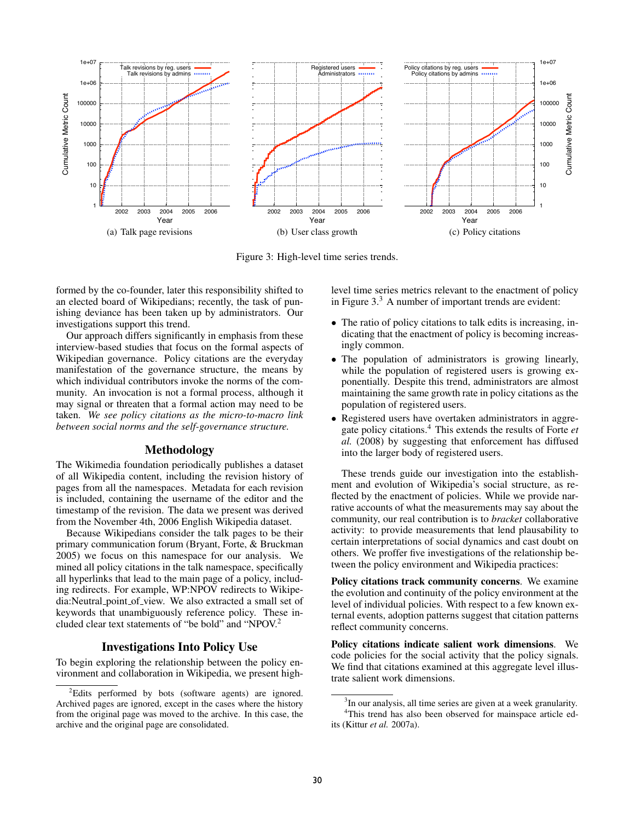

Figure 3: High-level time series trends.

formed by the co-founder, later this responsibility shifted to an elected board of Wikipedians; recently, the task of punishing deviance has been taken up by administrators. Our investigations support this trend.

Our approach differs significantly in emphasis from these interview-based studies that focus on the formal aspects of Wikipedian governance. Policy citations are the everyday manifestation of the governance structure, the means by which individual contributors invoke the norms of the community. An invocation is not a formal process, although it may signal or threaten that a formal action may need to be taken. *We see policy citations as the micro-to-macro link between social norms and the self-governance structure.*

### Methodology

The Wikimedia foundation periodically publishes a dataset of all Wikipedia content, including the revision history of pages from all the namespaces. Metadata for each revision is included, containing the username of the editor and the timestamp of the revision. The data we present was derived from the November 4th, 2006 English Wikipedia dataset.

Because Wikipedians consider the talk pages to be their primary communication forum (Bryant, Forte, & Bruckman 2005) we focus on this namespace for our analysis. We mined all policy citations in the talk namespace, specifically all hyperlinks that lead to the main page of a policy, including redirects. For example, WP:NPOV redirects to Wikipedia:Neutral point of view. We also extracted a small set of keywords that unambiguously reference policy. These included clear text statements of "be bold" and "NPOV.<sup>2</sup>

### Investigations Into Policy Use

To begin exploring the relationship between the policy environment and collaboration in Wikipedia, we present highlevel time series metrics relevant to the enactment of policy in Figure  $3<sup>3</sup>$  A number of important trends are evident:

- The ratio of policy citations to talk edits is increasing, indicating that the enactment of policy is becoming increasingly common.
- The population of administrators is growing linearly, while the population of registered users is growing exponentially. Despite this trend, administrators are almost maintaining the same growth rate in policy citations as the population of registered users.
- Registered users have overtaken administrators in aggregate policy citations.<sup>4</sup> This extends the results of Forte *et al.* (2008) by suggesting that enforcement has diffused into the larger body of registered users.

These trends guide our investigation into the establishment and evolution of Wikipedia's social structure, as reflected by the enactment of policies. While we provide narrative accounts of what the measurements may say about the community, our real contribution is to *bracket* collaborative activity: to provide measurements that lend plausability to certain interpretations of social dynamics and cast doubt on others. We proffer five investigations of the relationship between the policy environment and Wikipedia practices:

Policy citations track community concerns. We examine the evolution and continuity of the policy environment at the level of individual policies. With respect to a few known external events, adoption patterns suggest that citation patterns reflect community concerns.

Policy citations indicate salient work dimensions. We code policies for the social activity that the policy signals. We find that citations examined at this aggregate level illustrate salient work dimensions.

<sup>2</sup>Edits performed by bots (software agents) are ignored. Archived pages are ignored, except in the cases where the history from the original page was moved to the archive. In this case, the archive and the original page are consolidated.

<sup>&</sup>lt;sup>3</sup>In our analysis, all time series are given at a week granularity. <sup>4</sup>This trend has also been observed for mainspace article ed-

its (Kittur *et al.* 2007a).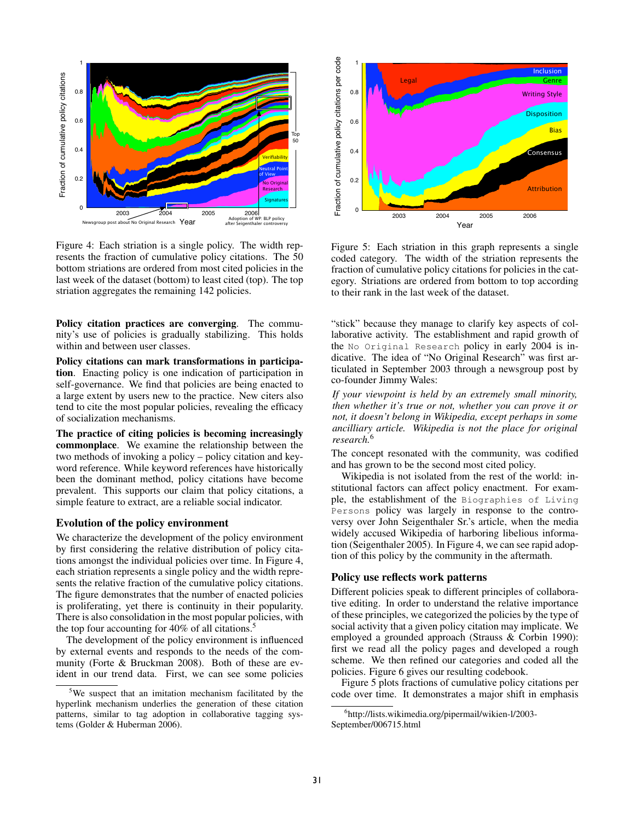

Figure 4: Each striation is a single policy. The width represents the fraction of cumulative policy citations. The 50 bottom striations are ordered from most cited policies in the last week of the dataset (bottom) to least cited (top). The top striation aggregates the remaining 142 policies.

Policy citation practices are converging. The community's use of policies is gradually stabilizing. This holds within and between user classes.

Policy citations can mark transformations in participation. Enacting policy is one indication of participation in self-governance. We find that policies are being enacted to a large extent by users new to the practice. New citers also tend to cite the most popular policies, revealing the efficacy of socialization mechanisms.

The practice of citing policies is becoming increasingly commonplace. We examine the relationship between the two methods of invoking a policy – policy citation and keyword reference. While keyword references have historically been the dominant method, policy citations have become prevalent. This supports our claim that policy citations, a simple feature to extract, are a reliable social indicator.

### Evolution of the policy environment

We characterize the development of the policy environment by first considering the relative distribution of policy citations amongst the individual policies over time. In Figure 4, each striation represents a single policy and the width represents the relative fraction of the cumulative policy citations. The figure demonstrates that the number of enacted policies is proliferating, yet there is continuity in their popularity. There is also consolidation in the most popular policies, with the top four accounting for 40% of all citations.<sup>5</sup>

The development of the policy environment is influenced by external events and responds to the needs of the community (Forte & Bruckman 2008). Both of these are evident in our trend data. First, we can see some policies



Figure 5: Each striation in this graph represents a single coded category. The width of the striation represents the fraction of cumulative policy citations for policies in the category. Striations are ordered from bottom to top according to their rank in the last week of the dataset.

"stick" because they manage to clarify key aspects of collaborative activity. The establishment and rapid growth of the No Original Research policy in early 2004 is indicative. The idea of "No Original Research" was first articulated in September 2003 through a newsgroup post by co-founder Jimmy Wales:

*If your viewpoint is held by an extremely small minority, then whether it's true or not, whether you can prove it or not, it doesn't belong in Wikipedia, except perhaps in some ancilliary article. Wikipedia is not the place for original research.*<sup>6</sup>

The concept resonated with the community, was codified and has grown to be the second most cited policy.

Wikipedia is not isolated from the rest of the world: institutional factors can affect policy enactment. For example, the establishment of the Biographies of Living Persons policy was largely in response to the controversy over John Seigenthaler Sr.'s article, when the media widely accused Wikipedia of harboring libelious information (Seigenthaler 2005). In Figure 4, we can see rapid adoption of this policy by the community in the aftermath.

#### Policy use reflects work patterns

Different policies speak to different principles of collaborative editing. In order to understand the relative importance of these principles, we categorized the policies by the type of social activity that a given policy citation may implicate. We employed a grounded approach (Strauss & Corbin 1990): first we read all the policy pages and developed a rough scheme. We then refined our categories and coded all the policies. Figure 6 gives our resulting codebook.

Figure 5 plots fractions of cumulative policy citations per code over time. It demonstrates a major shift in emphasis

<sup>5</sup>We suspect that an imitation mechanism facilitated by the hyperlink mechanism underlies the generation of these citation patterns, similar to tag adoption in collaborative tagging systems (Golder & Huberman 2006).

<sup>6</sup> http://lists.wikimedia.org/pipermail/wikien-l/2003- September/006715.html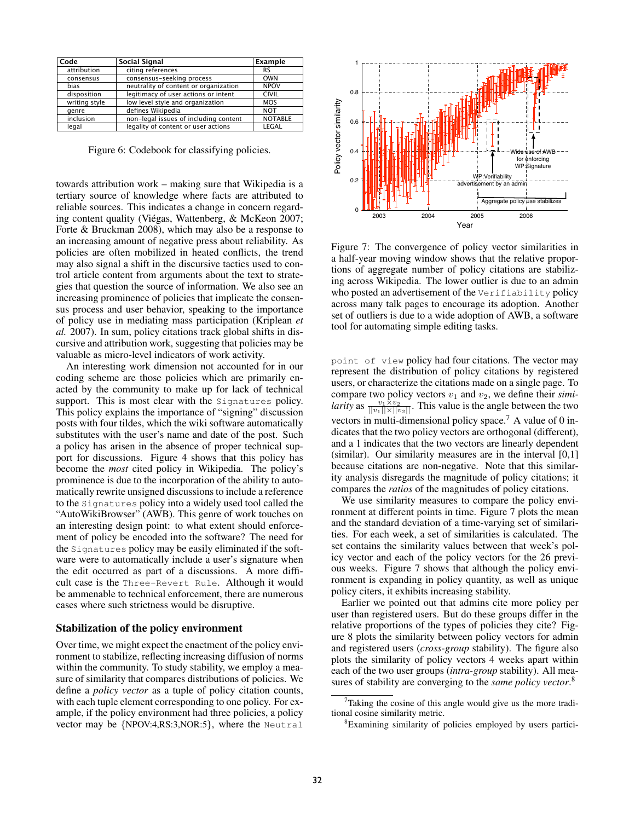| Code          | <b>Social Signal</b>                  | Example        |
|---------------|---------------------------------------|----------------|
| attribution   | citing references                     | RS             |
| consensus     | consensus-seeking process             | <b>OWN</b>     |
| bias          | neutrality of content or organization | <b>NPOV</b>    |
| disposition   | legitimacy of user actions or intent  | <b>CIVIL</b>   |
| writing style | low level style and organization      | <b>MOS</b>     |
| genre         | defines Wikipedia                     | <b>NOT</b>     |
| inclusion     | non-legal issues of including content | <b>NOTABLE</b> |
| legal         | legality of content or user actions   | LEGAL          |

Figure 6: Codebook for classifying policies.

towards attribution work – making sure that Wikipedia is a tertiary source of knowledge where facts are attributed to reliable sources. This indicates a change in concern regarding content quality (Viégas, Wattenberg, & McKeon 2007; Forte & Bruckman 2008), which may also be a response to an increasing amount of negative press about reliability. As policies are often mobilized in heated conflicts, the trend may also signal a shift in the discursive tactics used to control article content from arguments about the text to strategies that question the source of information. We also see an increasing prominence of policies that implicate the consensus process and user behavior, speaking to the importance of policy use in mediating mass participation (Kriplean *et al.* 2007). In sum, policy citations track global shifts in discursive and attribution work, suggesting that policies may be valuable as micro-level indicators of work activity.

An interesting work dimension not accounted for in our coding scheme are those policies which are primarily enacted by the community to make up for lack of technical support. This is most clear with the Signatures policy. This policy explains the importance of "signing" discussion posts with four tildes, which the wiki software automatically substitutes with the user's name and date of the post. Such a policy has arisen in the absence of proper technical support for discussions. Figure 4 shows that this policy has become the *most* cited policy in Wikipedia. The policy's prominence is due to the incorporation of the ability to automatically rewrite unsigned discussions to include a reference to the Signatures policy into a widely used tool called the "AutoWikiBrowser" (AWB). This genre of work touches on an interesting design point: to what extent should enforcement of policy be encoded into the software? The need for the Signatures policy may be easily eliminated if the software were to automatically include a user's signature when the edit occurred as part of a discussions. A more difficult case is the Three-Revert Rule. Although it would be ammenable to technical enforcement, there are numerous cases where such strictness would be disruptive.

#### Stabilization of the policy environment

Over time, we might expect the enactment of the policy environment to stabilize, reflecting increasing diffusion of norms within the community. To study stability, we employ a measure of similarity that compares distributions of policies. We define a *policy vector* as a tuple of policy citation counts, with each tuple element corresponding to one policy. For example, if the policy environment had three policies, a policy vector may be {NPOV:4,RS:3,NOR:5}, where the Neutral



Figure 7: The convergence of policy vector similarities in a half-year moving window shows that the relative proportions of aggregate number of policy citations are stabilizing across Wikipedia. The lower outlier is due to an admin who posted an advertisement of the Verifiability policy across many talk pages to encourage its adoption. Another set of outliers is due to a wide adoption of AWB, a software tool for automating simple editing tasks.

point of view policy had four citations. The vector may represent the distribution of policy citations by registered users, or characterize the citations made on a single page. To compare two policy vectors  $v_1$  and  $v_2$ , we define their *similarity* as  $\frac{v_1 \times v_2}{\|v_1\| \times \|v_2\|}$ . This value is the angle between the two vectors in multi-dimensional policy space.<sup>7</sup> A value of 0 indicates that the two policy vectors are orthogonal (different), and a 1 indicates that the two vectors are linearly dependent (similar). Our similarity measures are in the interval [0,1] because citations are non-negative. Note that this similarity analysis disregards the magnitude of policy citations; it compares the *ratios* of the magnitudes of policy citations.

We use similarity measures to compare the policy environment at different points in time. Figure 7 plots the mean and the standard deviation of a time-varying set of similarities. For each week, a set of similarities is calculated. The set contains the similarity values between that week's policy vector and each of the policy vectors for the 26 previous weeks. Figure 7 shows that although the policy environment is expanding in policy quantity, as well as unique policy citers, it exhibits increasing stability.

Earlier we pointed out that admins cite more policy per user than registered users. But do these groups differ in the relative proportions of the types of policies they cite? Figure 8 plots the similarity between policy vectors for admin and registered users (*cross-group* stability). The figure also plots the similarity of policy vectors 4 weeks apart within each of the two user groups (*intra-group* stability). All measures of stability are converging to the *same policy vector*. 8

 $7$ Taking the cosine of this angle would give us the more traditional cosine similarity metric.

<sup>8</sup>Examining similarity of policies employed by users partici-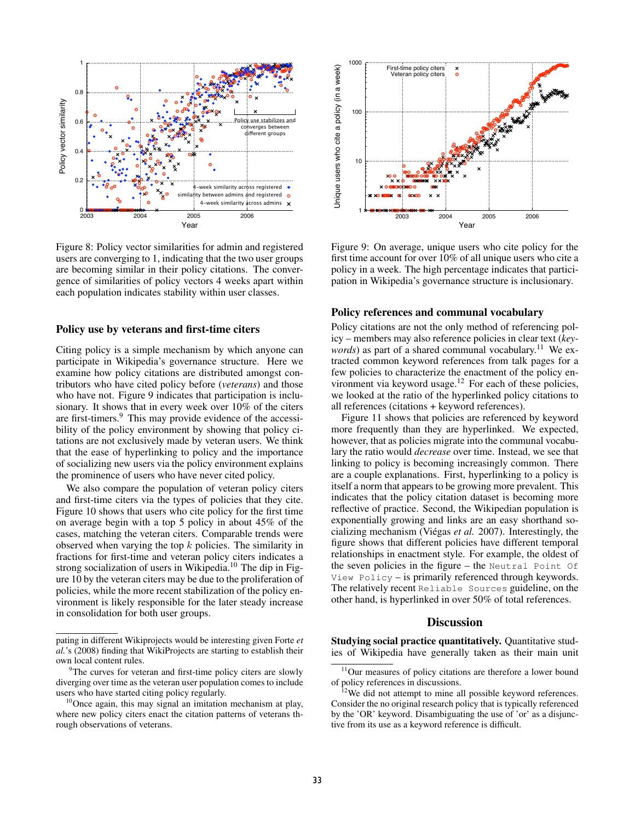

Figure 8: Policy vector similarities for admin and registered users are converging to 1, indicating that the two user groups are becoming similar in their policy citations. The convergence of similarities of policy vectors 4 weeks apart within each population indicates stability within user classes.

#### Policy use by veterans and first-time citers

Citing policy is a simple mechanism by which anyone can participate in Wikipedia's governance structure. Here we examine how policy citations are distributed amongst contributors who have cited policy before (*veterans*) and those who have not. Figure 9 indicates that participation is inclusionary. It shows that in every week over 10% of the citers are first-timers.<sup>9</sup> This may provide evidence of the accessibility of the policy environment by showing that policy citations are not exclusively made by veteran users. We think that the ease of hyperlinking to policy and the importance of socializing new users via the policy environment explains the prominence of users who have never cited policy.

We also compare the population of veteran policy citers and first-time citers via the types of policies that they cite. Figure 10 shows that users who cite policy for the first time on average begin with a top 5 policy in about 45% of the cases, matching the veteran citers. Comparable trends were observed when varying the top  $k$  policies. The similarity in fractions for first-time and veteran policy citers indicates a strong socialization of users in Wikipedia.<sup>10</sup> The dip in Figure 10 by the veteran citers may be due to the proliferation of policies, while the more recent stabilization of the policy environment is likely responsible for the later steady increase in consolidation for both user groups.



Figure 9: On average, unique users who cite policy for the first time account for over 10% of all unique users who cite a policy in a week. The high percentage indicates that participation in Wikipedia's governance structure is inclusionary.

### Policy references and communal vocabulary

Policy citations are not the only method of referencing policy – members may also reference policies in clear text (*keywords*) as part of a shared communal vocabulary.<sup>11</sup> We extracted common keyword references from talk pages for a few policies to characterize the enactment of the policy environment via keyword usage.<sup>12</sup> For each of these policies, we looked at the ratio of the hyperlinked policy citations to all references (citations + keyword references).

Figure 11 shows that policies are referenced by keyword more frequently than they are hyperlinked. We expected, however, that as policies migrate into the communal vocabulary the ratio would *decrease* over time. Instead, we see that linking to policy is becoming increasingly common. There are a couple explanations. First, hyperlinking to a policy is itself a norm that appears to be growing more prevalent. This indicates that the policy citation dataset is becoming more reflective of practice. Second, the Wikipedian population is exponentially growing and links are an easy shorthand socializing mechanism (Viégas *et al.* 2007). Interestingly, the figure shows that different policies have different temporal relationships in enactment style. For example, the oldest of the seven policies in the figure – the Neutral Point Of View Policy – is primarily referenced through keywords. The relatively recent Reliable Sources guideline, on the other hand, is hyperlinked in over 50% of total references.

# **Discussion**

Studying social practice quantitatively. Quantitative studies of Wikipedia have generally taken as their main unit

pating in different Wikiprojects would be interesting given Forte *et al.*'s (2008) finding that WikiProjects are starting to establish their own local content rules.

<sup>&</sup>lt;sup>9</sup>The curves for veteran and first-time policy citers are slowly diverging over time as the veteran user population comes to include users who have started citing policy regularly.

 $10$ Once again, this may signal an imitation mechanism at play, where new policy citers enact the citation patterns of veterans through observations of veterans.

 $11$ Our measures of policy citations are therefore a lower bound of policy references in discussions.

 $12$ We did not attempt to mine all possible keyword references. Consider the no original research policy that is typically referenced by the 'OR' keyword. Disambiguating the use of 'or' as a disjunctive from its use as a keyword reference is difficult.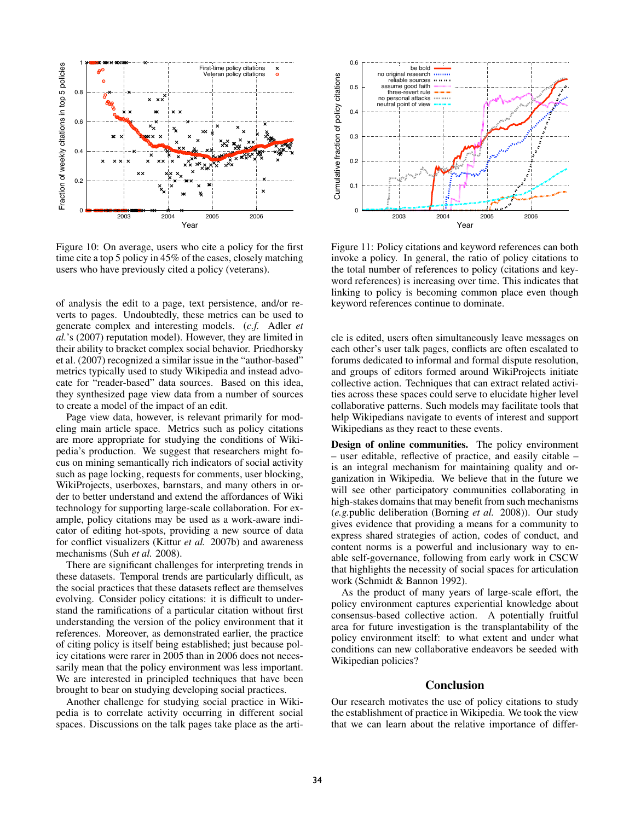

Figure 10: On average, users who cite a policy for the first time cite a top 5 policy in 45% of the cases, closely matching users who have previously cited a policy (veterans).

of analysis the edit to a page, text persistence, and/or reverts to pages. Undoubtedly, these metrics can be used to generate complex and interesting models. (*c.f.* Adler *et al.*'s (2007) reputation model). However, they are limited in their ability to bracket complex social behavior. Priedhorsky et al. (2007) recognized a similar issue in the "author-based" metrics typically used to study Wikipedia and instead advocate for "reader-based" data sources. Based on this idea, they synthesized page view data from a number of sources to create a model of the impact of an edit.

Page view data, however, is relevant primarily for modeling main article space. Metrics such as policy citations are more appropriate for studying the conditions of Wikipedia's production. We suggest that researchers might focus on mining semantically rich indicators of social activity such as page locking, requests for comments, user blocking, WikiProjects, userboxes, barnstars, and many others in order to better understand and extend the affordances of Wiki technology for supporting large-scale collaboration. For example, policy citations may be used as a work-aware indicator of editing hot-spots, providing a new source of data for conflict visualizers (Kittur *et al.* 2007b) and awareness mechanisms (Suh *et al.* 2008).

There are significant challenges for interpreting trends in these datasets. Temporal trends are particularly difficult, as the social practices that these datasets reflect are themselves evolving. Consider policy citations: it is difficult to understand the ramifications of a particular citation without first understanding the version of the policy environment that it references. Moreover, as demonstrated earlier, the practice of citing policy is itself being established; just because policy citations were rarer in 2005 than in 2006 does not necessarily mean that the policy environment was less important. We are interested in principled techniques that have been brought to bear on studying developing social practices.

Another challenge for studying social practice in Wikipedia is to correlate activity occurring in different social spaces. Discussions on the talk pages take place as the arti-



Figure 11: Policy citations and keyword references can both invoke a policy. In general, the ratio of policy citations to the total number of references to policy (citations and keyword references) is increasing over time. This indicates that linking to policy is becoming common place even though keyword references continue to dominate.

cle is edited, users often simultaneously leave messages on each other's user talk pages, conflicts are often escalated to forums dedicated to informal and formal dispute resolution, and groups of editors formed around WikiProjects initiate collective action. Techniques that can extract related activities across these spaces could serve to elucidate higher level collaborative patterns. Such models may facilitate tools that help Wikipedians navigate to events of interest and support Wikipedians as they react to these events.

Design of online communities. The policy environment – user editable, reflective of practice, and easily citable – is an integral mechanism for maintaining quality and organization in Wikipedia. We believe that in the future we will see other participatory communities collaborating in high-stakes domains that may benefit from such mechanisms (*e.g.*public deliberation (Borning *et al.* 2008)). Our study gives evidence that providing a means for a community to express shared strategies of action, codes of conduct, and content norms is a powerful and inclusionary way to enable self-governance, following from early work in CSCW that highlights the necessity of social spaces for articulation work (Schmidt & Bannon 1992).

As the product of many years of large-scale effort, the policy environment captures experiential knowledge about consensus-based collective action. A potentially fruitful area for future investigation is the transplantability of the policy environment itself: to what extent and under what conditions can new collaborative endeavors be seeded with Wikipedian policies?

# **Conclusion**

Our research motivates the use of policy citations to study the establishment of practice in Wikipedia. We took the view that we can learn about the relative importance of differ